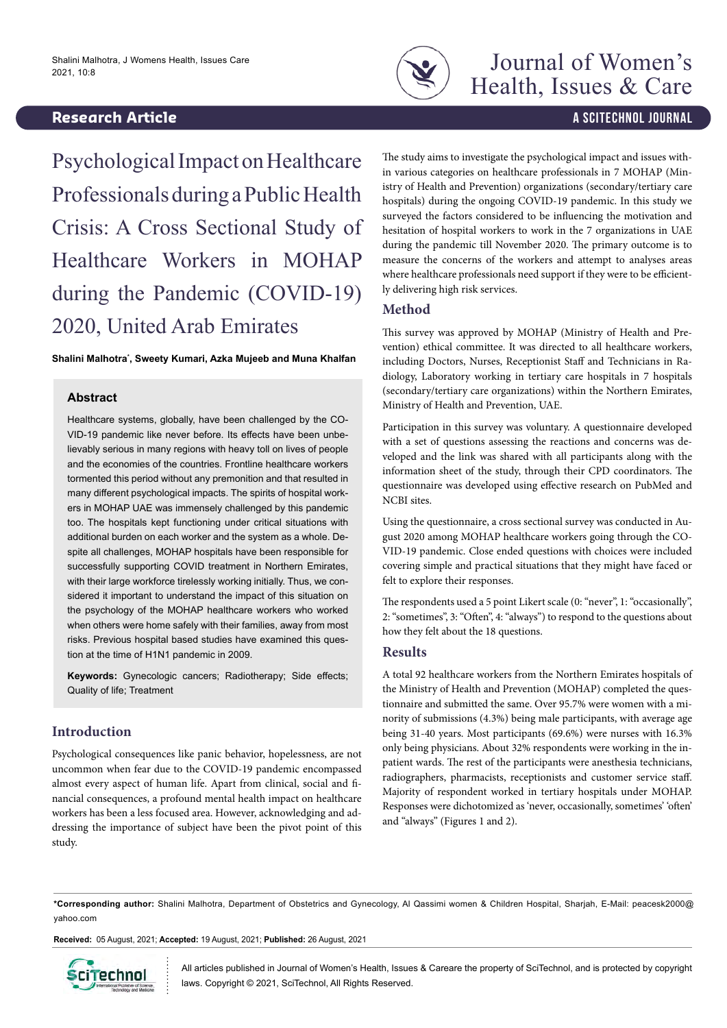# **Research Article And Contract Contract Contract Contract Contract Contract Contract Contract Contract Contract Contract Contract Contract Contract Contract Contract Contract Contract Contract Contract Contract Contract**



Psychological Impact on Healthcare Professionals during a Public Health Crisis: A Cross Sectional Study of Healthcare Workers in MOHAP during the Pandemic (COVID-19) 2020, United Arab Emirates

**Shalini Malhotra\* , Sweety Kumari, Azka Mujeeb and Muna Khalfan**

#### **Abstract**

Healthcare systems, globally, have been challenged by the CO-VID-19 pandemic like never before. Its effects have been unbelievably serious in many regions with heavy toll on lives of people and the economies of the countries. Frontline healthcare workers tormented this period without any premonition and that resulted in many different psychological impacts. The spirits of hospital workers in MOHAP UAE was immensely challenged by this pandemic too. The hospitals kept functioning under critical situations with additional burden on each worker and the system as a whole. Despite all challenges, MOHAP hospitals have been responsible for successfully supporting COVID treatment in Northern Emirates, with their large workforce tirelessly working initially. Thus, we considered it important to understand the impact of this situation on the psychology of the MOHAP healthcare workers who worked when others were home safely with their families, away from most risks. Previous hospital based studies have examined this question at the time of H1N1 pandemic in 2009.

**Keywords:** Gynecologic cancers; Radiotherapy; Side effects; Quality of life; Treatment

# **Introduction**

Psychological consequences like panic behavior, hopelessness, are not uncommon when fear due to the COVID-19 pandemic encompassed almost every aspect of human life. Apart from clinical, social and financial consequences, a profound mental health impact on healthcare workers has been a less focused area. However, acknowledging and addressing the importance of subject have been the pivot point of this study.

The study aims to investigate the psychological impact and issues within various categories on healthcare professionals in 7 MOHAP (Ministry of Health and Prevention) organizations (secondary/tertiary care hospitals) during the ongoing COVID-19 pandemic. In this study we surveyed the factors considered to be influencing the motivation and hesitation of hospital workers to work in the 7 organizations in UAE during the pandemic till November 2020. The primary outcome is to measure the concerns of the workers and attempt to analyses areas where healthcare professionals need support if they were to be efficiently delivering high risk services.

## **Method**

This survey was approved by MOHAP (Ministry of Health and Prevention) ethical committee. It was directed to all healthcare workers, including Doctors, Nurses, Receptionist Staff and Technicians in Radiology, Laboratory working in tertiary care hospitals in 7 hospitals (secondary/tertiary care organizations) within the Northern Emirates, Ministry of Health and Prevention, UAE.

Participation in this survey was voluntary. A questionnaire developed with a set of questions assessing the reactions and concerns was developed and the link was shared with all participants along with the information sheet of the study, through their CPD coordinators. The questionnaire was developed using effective research on PubMed and NCBI sites.

Using the questionnaire, a cross sectional survey was conducted in August 2020 among MOHAP healthcare workers going through the CO-VID-19 pandemic. Close ended questions with choices were included covering simple and practical situations that they might have faced or felt to explore their responses.

The respondents used a 5 point Likert scale (0: "never", 1: "occasionally", 2: "sometimes", 3: "Often", 4: "always") to respond to the questions about how they felt about the 18 questions.

# **Results**

A total 92 healthcare workers from the Northern Emirates hospitals of the Ministry of Health and Prevention (MOHAP) completed the questionnaire and submitted the same. Over 95.7% were women with a minority of submissions (4.3%) being male participants, with average age being 31-40 years. Most participants (69.6%) were nurses with 16.3% only being physicians. About 32% respondents were working in the inpatient wards. The rest of the participants were anesthesia technicians, radiographers, pharmacists, receptionists and customer service staff. Majority of respondent worked in tertiary hospitals under MOHAP. Responses were dichotomized as 'never, occasionally, sometimes' 'often' and "always" (Figures 1 and 2).

**\*Corresponding author:** Shalini Malhotra, Department of Obstetrics and Gynecology, Al Qassimi women & Children Hospital, Sharjah, E-Mail: peacesk2000@ yahoo.com

**Received:** 05 August, 2021; **Accepted:** 19 August, 2021; **Published:** 26 August, 2021



All articles published in Journal of Women's Health, Issues & Careare the property of SciTechnol, and is protected by copyright laws. Copyright © 2021, SciTechnol, All Rights Reserved.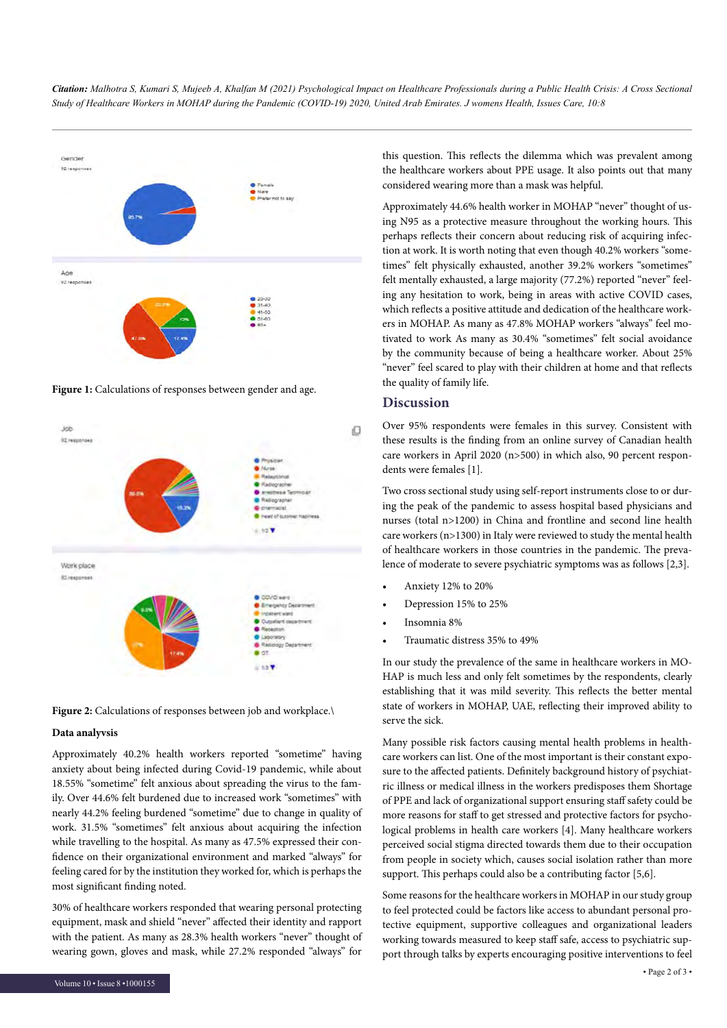*Citation: Malhotra S, Kumari S, Mujeeb A, Khalfan M (2021) Psychological Impact on Healthcare Professionals during a Public Health Crisis: A Cross Sectional Study of Healthcare Workers in MOHAP during the Pandemic (COVID-19) 2020, United Arab Emirates. J womens Health, Issues Care, 10:8*



**Figure 1:** Calculations of responses between gender and age.



Figure 2: Calculations of responses between job and workplace.\

#### **Data analyvsis**

Approximately 40.2% health workers reported "sometime" having anxiety about being infected during Covid-19 pandemic, while about 18.55% "sometime" felt anxious about spreading the virus to the family. Over 44.6% felt burdened due to increased work "sometimes" with nearly 44.2% feeling burdened "sometime" due to change in quality of work. 31.5% "sometimes" felt anxious about acquiring the infection while travelling to the hospital. As many as 47.5% expressed their confidence on their organizational environment and marked "always" for feeling cared for by the institution they worked for, which is perhaps the most significant finding noted.

30% of healthcare workers responded that wearing personal protecting equipment, mask and shield "never" affected their identity and rapport with the patient. As many as 28.3% health workers "never" thought of wearing gown, gloves and mask, while 27.2% responded "always" for

this question. This reflects the dilemma which was prevalent among the healthcare workers about PPE usage. It also points out that many considered wearing more than a mask was helpful.

Approximately 44.6% health worker in MOHAP "never" thought of using N95 as a protective measure throughout the working hours. This perhaps reflects their concern about reducing risk of acquiring infection at work. It is worth noting that even though 40.2% workers "sometimes" felt physically exhausted, another 39.2% workers "sometimes" felt mentally exhausted, a large majority (77.2%) reported "never" feeling any hesitation to work, being in areas with active COVID cases, which reflects a positive attitude and dedication of the healthcare workers in MOHAP. As many as 47.8% MOHAP workers "always" feel motivated to work As many as 30.4% "sometimes" felt social avoidance by the community because of being a healthcare worker. About 25% "never" feel scared to play with their children at home and that reflects the quality of family life.

# **Discussion**

Over 95% respondents were females in this survey. Consistent with these results is the finding from an online survey of Canadian health care workers in April 2020 (n>500) in which also, 90 percent respondents were females [1].

Two cross sectional study using self-report instruments close to or during the peak of the pandemic to assess hospital based physicians and nurses (total n>1200) in China and frontline and second line health care workers (n>1300) in Italy were reviewed to study the mental health of healthcare workers in those countries in the pandemic. The prevalence of moderate to severe psychiatric symptoms was as follows [2,3].

- Anxiety 12% to 20%
- Depression 15% to 25%
- Insomnia 8%
- Traumatic distress 35% to 49%

In our study the prevalence of the same in healthcare workers in MO-HAP is much less and only felt sometimes by the respondents, clearly establishing that it was mild severity. This reflects the better mental state of workers in MOHAP, UAE, reflecting their improved ability to serve the sick.

Many possible risk factors causing mental health problems in healthcare workers can list. One of the most important is their constant exposure to the affected patients. Definitely background history of psychiatric illness or medical illness in the workers predisposes them Shortage of PPE and lack of organizational support ensuring staff safety could be more reasons for staff to get stressed and protective factors for psychological problems in health care workers [4]. Many healthcare workers perceived social stigma directed towards them due to their occupation from people in society which, causes social isolation rather than more support. This perhaps could also be a contributing factor [5,6].

Some reasons for the healthcare workers in MOHAP in our study group to feel protected could be factors like access to abundant personal protective equipment, supportive colleagues and organizational leaders working towards measured to keep staff safe, access to psychiatric support through talks by experts encouraging positive interventions to feel